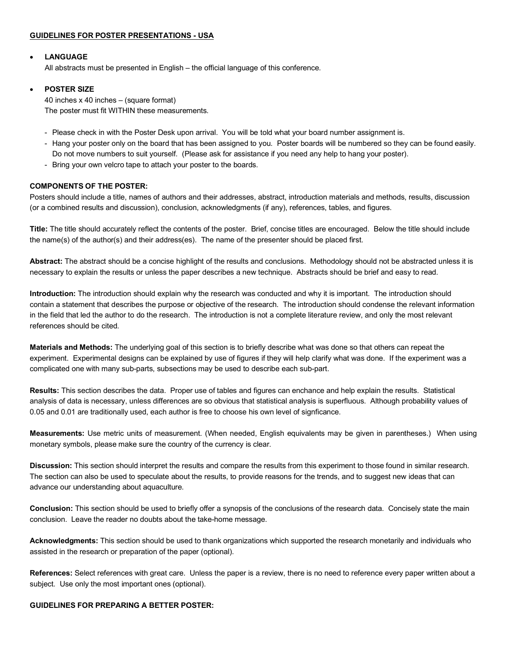# **GUIDELINES FOR POSTER PRESENTATIONS - USA**

# • **LANGUAGE**

All abstracts must be presented in English – the official language of this conference.

### • **POSTER SIZE**

40 inches x 40 inches – (square format) The poster must fit WITHIN these measurements.

- Please check in with the Poster Desk upon arrival. You will be told what your board number assignment is.
- Hang your poster only on the board that has been assigned to you. Poster boards will be numbered so they can be found easily. Do not move numbers to suit yourself. (Please ask for assistance if you need any help to hang your poster).
- Bring your own velcro tape to attach your poster to the boards.

### **COMPONENTS OF THE POSTER:**

Posters should include a title, names of authors and their addresses, abstract, introduction materials and methods, results, discussion (or a combined results and discussion), conclusion, acknowledgments (if any), references, tables, and figures.

**Title:** The title should accurately reflect the contents of the poster. Brief, concise titles are encouraged. Below the title should include the name(s) of the author(s) and their address(es). The name of the presenter should be placed first.

**Abstract:** The abstract should be a concise highlight of the results and conclusions. Methodology should not be abstracted unless it is necessary to explain the results or unless the paper describes a new technique. Abstracts should be brief and easy to read.

**Introduction:** The introduction should explain why the research was conducted and why it is important. The introduction should contain a statement that describes the purpose or objective of the research. The introduction should condense the relevant information in the field that led the author to do the research. The introduction is not a complete literature review, and only the most relevant references should be cited.

**Materials and Methods:** The underlying goal of this section is to briefly describe what was done so that others can repeat the experiment. Experimental designs can be explained by use of figures if they will help clarify what was done. If the experiment was a complicated one with many sub-parts, subsections may be used to describe each sub-part.

**Results:** This section describes the data. Proper use of tables and figures can enchance and help explain the results. Statistical analysis of data is necessary, unless differences are so obvious that statistical analysis is superfluous. Although probability values of 0.05 and 0.01 are traditionally used, each author is free to choose his own level of signficance.

**Measurements:** Use metric units of measurement. (When needed, English equivalents may be given in parentheses.) When using monetary symbols, please make sure the country of the currency is clear.

**Discussion:** This section should interpret the results and compare the results from this experiment to those found in similar research. The section can also be used to speculate about the results, to provide reasons for the trends, and to suggest new ideas that can advance our understanding about aquaculture.

**Conclusion:** This section should be used to briefly offer a synopsis of the conclusions of the research data. Concisely state the main conclusion. Leave the reader no doubts about the take-home message.

**Acknowledgments:** This section should be used to thank organizations which supported the research monetarily and individuals who assisted in the research or preparation of the paper (optional).

**References:** Select references with great care. Unless the paper is a review, there is no need to reference every paper written about a subject. Use only the most important ones (optional).

#### **GUIDELINES FOR PREPARING A BETTER POSTER:**